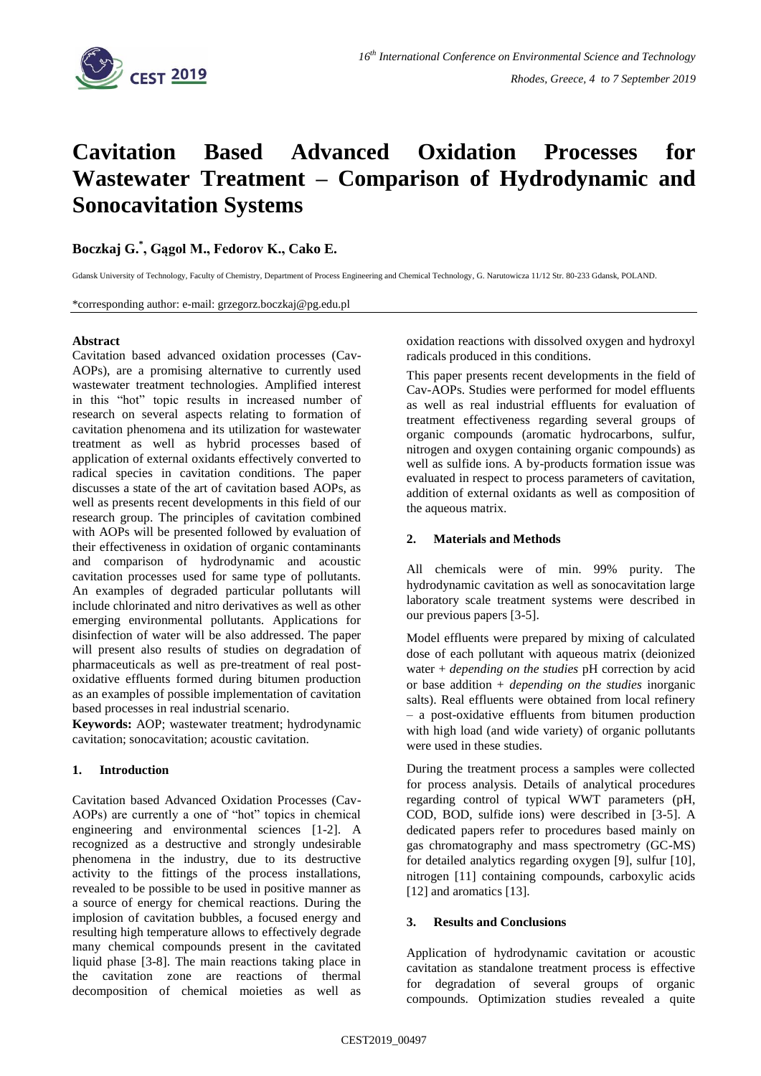

# **Cavitation Based Advanced Oxidation Processes for Wastewater Treatment – Comparison of Hydrodynamic and Sonocavitation Systems**

**Boczkaj G.\* , Gągol M., Fedorov K., Cako E.**

Gdansk University of Technology, Faculty of Chemistry, Department of Process Engineering and Chemical Technology, G. Narutowicza 11/12 Str. 80-233 Gdansk, POLAND.

\*corresponding author: e-mail: grzegorz.boczkaj@pg.edu.pl

#### **Abstract**

Cavitation based advanced oxidation processes (Cav-AOPs), are a promising alternative to currently used wastewater treatment technologies. Amplified interest in this "hot" topic results in increased number of research on several aspects relating to formation of cavitation phenomena and its utilization for wastewater treatment as well as hybrid processes based of application of external oxidants effectively converted to radical species in cavitation conditions. The paper discusses a state of the art of cavitation based AOPs, as well as presents recent developments in this field of our research group. The principles of cavitation combined with AOPs will be presented followed by evaluation of their effectiveness in oxidation of organic contaminants and comparison of hydrodynamic and acoustic cavitation processes used for same type of pollutants. An examples of degraded particular pollutants will include chlorinated and nitro derivatives as well as other emerging environmental pollutants. Applications for disinfection of water will be also addressed. The paper will present also results of studies on degradation of pharmaceuticals as well as pre-treatment of real postoxidative effluents formed during bitumen production as an examples of possible implementation of cavitation based processes in real industrial scenario.

**Keywords:** AOP; wastewater treatment; hydrodynamic cavitation; sonocavitation; acoustic cavitation.

## **1. Introduction**

Cavitation based Advanced Oxidation Processes (Cav-AOPs) are currently a one of "hot" topics in chemical engineering and environmental sciences [1-2]. A recognized as a destructive and strongly undesirable phenomena in the industry, due to its destructive activity to the fittings of the process installations, revealed to be possible to be used in positive manner as a source of energy for chemical reactions. During the implosion of cavitation bubbles, a focused energy and resulting high temperature allows to effectively degrade many chemical compounds present in the cavitated liquid phase [3-8]. The main reactions taking place in the cavitation zone are reactions of thermal decomposition of chemical moieties as well as

oxidation reactions with dissolved oxygen and hydroxyl radicals produced in this conditions.

This paper presents recent developments in the field of Cav-AOPs. Studies were performed for model effluents as well as real industrial effluents for evaluation of treatment effectiveness regarding several groups of organic compounds (aromatic hydrocarbons, sulfur, nitrogen and oxygen containing organic compounds) as well as sulfide ions. A by-products formation issue was evaluated in respect to process parameters of cavitation, addition of external oxidants as well as composition of the aqueous matrix.

## **2. Materials and Methods**

All chemicals were of min. 99% purity. The hydrodynamic cavitation as well as sonocavitation large laboratory scale treatment systems were described in our previous papers [3-5].

Model effluents were prepared by mixing of calculated dose of each pollutant with aqueous matrix (deionized water + *depending on the studies* pH correction by acid or base addition + *depending on the studies* inorganic salts). Real effluents were obtained from local refinery – a post-oxidative effluents from bitumen production with high load (and wide variety) of organic pollutants were used in these studies.

During the treatment process a samples were collected for process analysis. Details of analytical procedures regarding control of typical WWT parameters (pH, COD, BOD, sulfide ions) were described in [3-5]. A dedicated papers refer to procedures based mainly on gas chromatography and mass spectrometry (GC-MS) for detailed analytics regarding oxygen [9], sulfur [10], nitrogen [11] containing compounds, carboxylic acids [12] and aromatics [13].

### **3. Results and Conclusions**

Application of hydrodynamic cavitation or acoustic cavitation as standalone treatment process is effective for degradation of several groups of organic compounds. Optimization studies revealed a quite